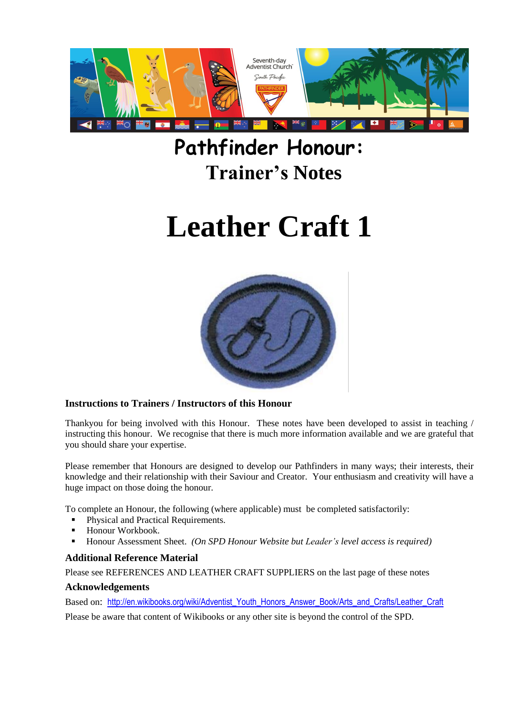

# **Pathfinder Honour: Trainer's Notes**

# **Leather Craft 1**



#### **Instructions to Trainers / Instructors of this Honour**

Thankyou for being involved with this Honour. These notes have been developed to assist in teaching / instructing this honour. We recognise that there is much more information available and we are grateful that you should share your expertise.

Please remember that Honours are designed to develop our Pathfinders in many ways; their interests, their knowledge and their relationship with their Saviour and Creator. Your enthusiasm and creativity will have a huge impact on those doing the honour.

To complete an Honour, the following (where applicable) must be completed satisfactorily:

- Physical and Practical Requirements.
- Honour Workbook.
- Honour Assessment Sheet. *(On SPD Honour Website but Leader's level access is required)*

#### **Additional Reference Material**

Please see REFERENCES AND LEATHER CRAFT SUPPLIERS on the last page of these notes

#### **Acknowledgements**

Based on: [http://en.wikibooks.org/wiki/Adventist\\_Youth\\_Honors\\_Answer\\_Book/Arts\\_and\\_Crafts/Leather\\_Craft](http://en.wikibooks.org/wiki/Adventist_Youth_Honors_Answer_Book/Arts_and_Crafts/Leather_Craft) Please be aware that content of Wikibooks or any other site is beyond the control of the SPD.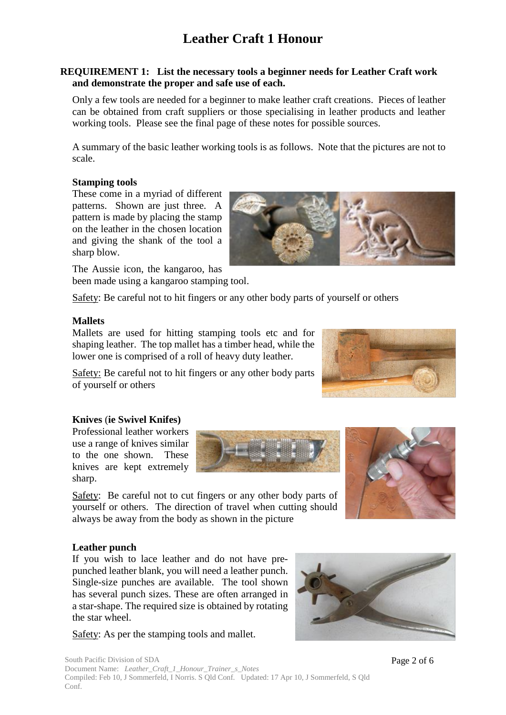#### **REQUIREMENT 1: List the necessary tools a beginner needs for Leather Craft work and demonstrate the proper and safe use of each.**

Only a few tools are needed for a beginner to make leather craft creations. Pieces of leather can be obtained from craft suppliers or those specialising in leather products and leather working tools. Please see the final page of these notes for possible sources.

A summary of the basic leather working tools is as follows. Note that the pictures are not to scale.

#### **Stamping tools**

These come in a myriad of different patterns. Shown are just three. A pattern is made by placing the stamp on the leather in the chosen location and giving the shank of the tool a sharp blow.

The Aussie icon, the kangaroo, has been made using a kangaroo stamping tool.

Safety: Be careful not to hit fingers or any other body parts of yourself or others

#### **Mallets**

Mallets are used for hitting stamping tools etc and for shaping leather. The top mallet has a timber head, while the lower one is comprised of a roll of heavy duty leather.

Safety: Be careful not to hit fingers or any other body parts of yourself or others

#### **Knives** (**ie Swivel Knifes)**

Professional leather workers use a range of knives similar to the one shown. These knives are kept extremely sharp.

Safety: Be careful not to cut fingers or any other body parts of yourself or others. The direction of travel when cutting should always be away from the body as shown in the picture



#### **Leather punch**

If you wish to lace leather and do not have prepunched leather blank, you will need a leather punch. Single-size punches are available. The tool shown has several punch sizes. These are often arranged in a star-shape. The required size is obtained by rotating the star wheel.

Safety: As per the stamping tools and mallet.



South Pacific Division of SDA Document Name: *Leather\_Craft\_1\_Honour\_Trainer\_s\_Notes*  Compiled: Feb 10, J Sommerfeld, I Norris. S Qld Conf. Updated: 17 Apr 10, J Sommerfeld, S Qld Conf.

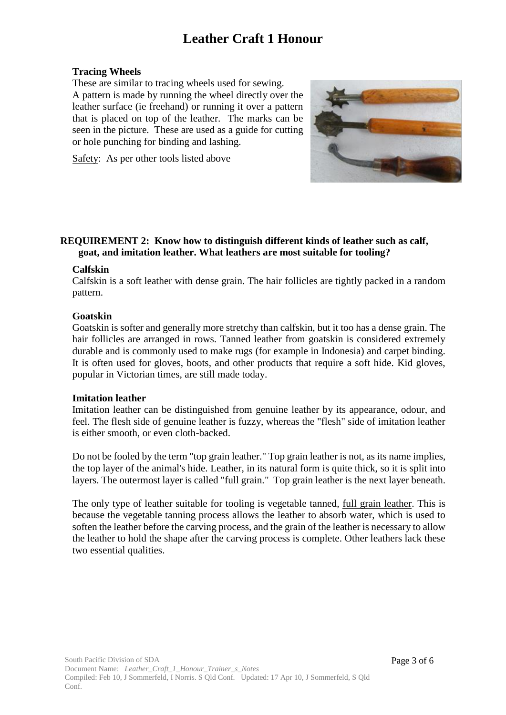#### **Tracing Wheels**

These are similar to tracing wheels used for sewing. A pattern is made by running the wheel directly over the leather surface (ie freehand) or running it over a pattern that is placed on top of the leather. The marks can be seen in the picture. These are used as a guide for cutting or hole punching for binding and lashing.



Safety: As per other tools listed above

#### **REQUIREMENT 2: Know how to distinguish different kinds of leather such as calf, goat, and imitation leather. What leathers are most suitable for tooling?**

#### **Calfskin**

Calfskin is a soft leather with dense grain. The hair follicles are tightly packed in a random pattern.

#### **Goatskin**

Goatskin is softer and generally more stretchy than calfskin, but it too has a dense grain. The hair follicles are arranged in rows. Tanned leather from goatskin is considered extremely durable and is commonly used to make rugs (for example in Indonesia) and carpet binding. It is often used for gloves, boots, and other products that require a soft hide. Kid gloves, popular in Victorian times, are still made today.

#### **Imitation leather**

Imitation leather can be distinguished from genuine leather by its appearance, odour, and feel. The flesh side of genuine leather is fuzzy, whereas the "flesh" side of imitation leather is either smooth, or even cloth-backed.

Do not be fooled by the term "top grain leather." Top grain leather is not, as its name implies, the top layer of the animal's hide. Leather, in its natural form is quite thick, so it is split into layers. The outermost layer is called "full grain." Top grain leather is the next layer beneath.

The only type of leather suitable for tooling is vegetable tanned, full grain leather. This is because the vegetable tanning process allows the leather to absorb water, which is used to soften the leather before the carving process, and the grain of the leather is necessary to allow the leather to hold the shape after the carving process is complete. Other leathers lack these two essential qualities.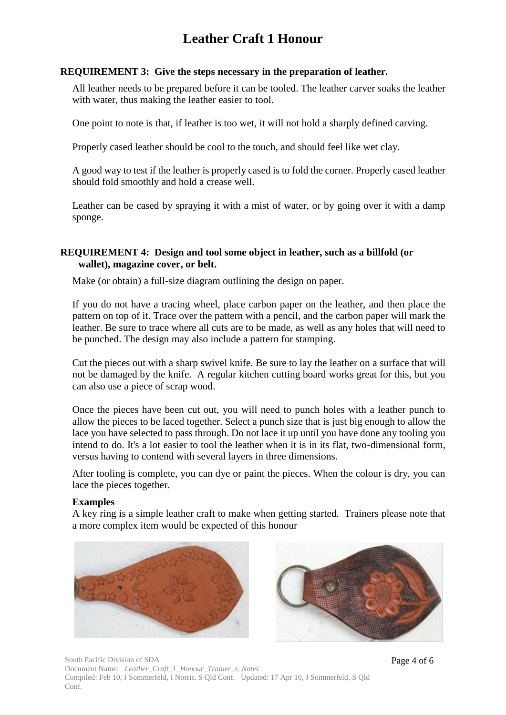#### **REQUIREMENT 3: Give the steps necessary in the preparation of leather.**

All leather needs to be prepared before it can be tooled. The leather carver soaks the leather with water, thus making the leather easier to tool.

One point to note is that, if leather is too wet, it will not hold a sharply defined carving.

Properly cased leather should be cool to the touch, and should feel like wet clay.

A good way to test if the leather is properly cased is to fold the corner. Properly cased leather should fold smoothly and hold a crease well.

Leather can be cased by spraying it with a mist of water, or by going over it with a damp sponge.

#### **REQUIREMENT 4: Design and tool some object in leather, such as a billfold (or wallet), magazine cover, or belt.**

Make (or obtain) a full-size diagram outlining the design on paper.

If you do not have a tracing wheel, place carbon paper on the leather, and then place the pattern on top of it. Trace over the pattern with a pencil, and the carbon paper will mark the leather. Be sure to trace where all cuts are to be made, as well as any holes that will need to be punched. The design may also include a pattern for stamping.

Cut the pieces out with a sharp swivel knife. Be sure to lay the leather on a surface that will not be damaged by the knife. A regular kitchen cutting board works great for this, but you can also use a piece of scrap wood.

Once the pieces have been cut out, you will need to punch holes with a leather punch to allow the pieces to be laced together. Select a punch size that is just big enough to allow the lace you have selected to pass through. Do not lace it up until you have done any tooling you intend to do. It's a lot easier to tool the leather when it is in its flat, two-dimensional form, versus having to contend with several layers in three dimensions.

After tooling is complete, you can dye or paint the pieces. When the colour is dry, you can lace the pieces together.

#### **Examples**

A key ring is a simple leather craft to make when getting started. Trainers please note that a more complex item would be expected of this honour





South Pacific Division of SDA Document Name: *Leather\_Craft\_1\_Honour\_Trainer\_s\_Notes*  Compiled: Feb 10, J Sommerfeld, I Norris. S Qld Conf. Updated: 17 Apr 10, J Sommerfeld, S Qld Conf.

Page 4 of 6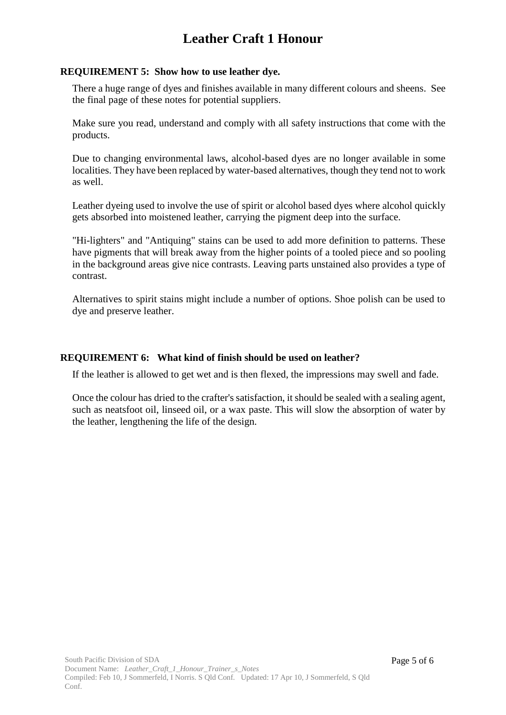#### **REQUIREMENT 5: Show how to use leather dye.**

There a huge range of dyes and finishes available in many different colours and sheens. See the final page of these notes for potential suppliers.

Make sure you read, understand and comply with all safety instructions that come with the products.

Due to changing environmental laws, alcohol-based dyes are no longer available in some localities. They have been replaced by water-based alternatives, though they tend not to work as well.

Leather dyeing used to involve the use of spirit or alcohol based dyes where alcohol quickly gets absorbed into moistened leather, carrying the pigment deep into the surface.

"Hi-lighters" and "Antiquing" stains can be used to add more definition to patterns. These have pigments that will break away from the higher points of a tooled piece and so pooling in the background areas give nice contrasts. Leaving parts unstained also provides a type of contrast.

Alternatives to spirit stains might include a number of options. Shoe polish can be used to dye and preserve leather.

#### **REQUIREMENT 6: What kind of finish should be used on leather?**

If the leather is allowed to get wet and is then flexed, the impressions may swell and fade.

Once the colour has dried to the crafter's satisfaction, it should be sealed with a sealing agent, such as neatsfoot oil, linseed oil, or a wax paste. This will slow the absorption of water by the leather, lengthening the life of the design.